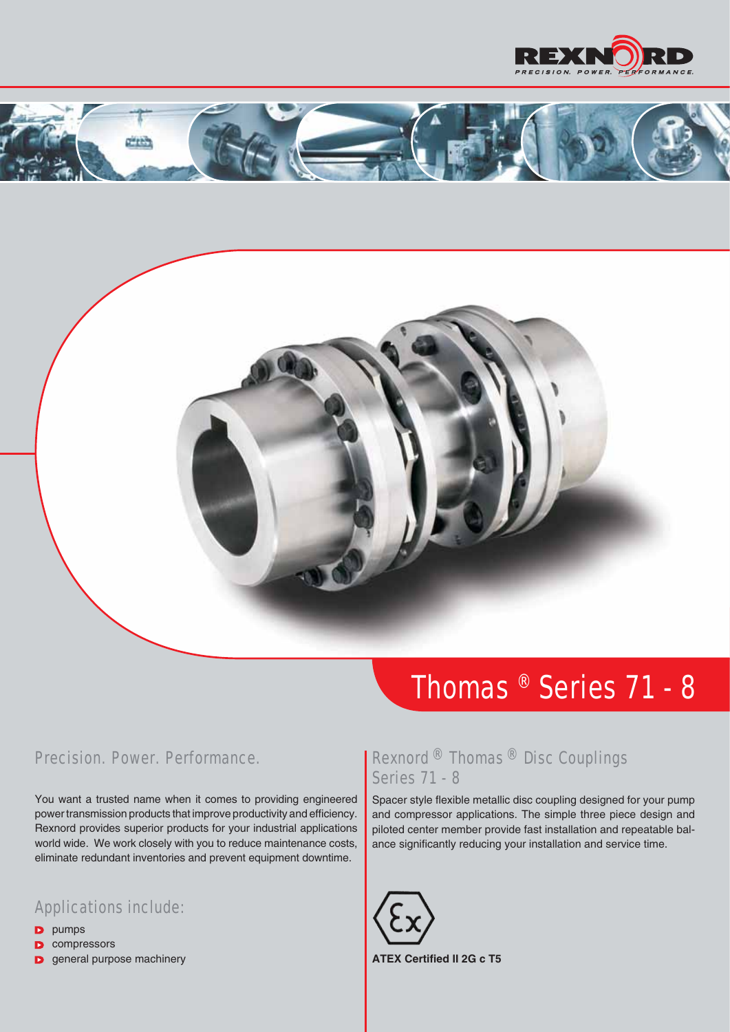





## *Thomas ® Series 71 - 8*

## *Precision. Power. Performance.*

You want a trusted name when it comes to providing engineered power transmission products that improve productivity and efficiency. Rexnord provides superior products for your industrial applications world wide. We work closely with you to reduce maintenance costs, eliminate redundant inventories and prevent equipment downtime.

## *Applications include:*

- **D** pumps
- **D** compressors
- **D** general purpose machinery

## *Rexnord ® Thomas ® Disc Couplings Series 71 - 8*

Spacer style flexible metallic disc coupling designed for your pump and compressor applications. The simple three piece design and piloted center member provide fast installation and repeatable balance significantly reducing your installation and service time.